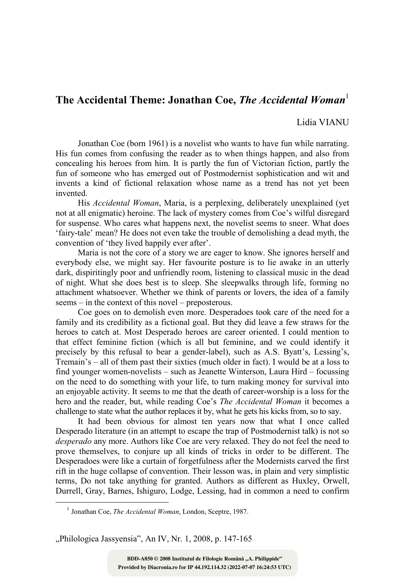## The Accidental Theme: Jonathan Coe, The Accidental Woman<sup>1</sup>

## Lidia VIANU

Jonathan Coe (born 1961) is a novelist who wants to have fun while narrating. His fun comes from confusing the reader as to when things happen, and also from concealing his heroes from him. It is partly the fun of Victorian fiction, partly the fun of someone who has emerged out of Postmodernist sophistication and wit and invents a kind of fictional relaxation whose name as a trend has not yet been invented.

His Accidental Woman, Maria, is a perplexing, deliberately unexplained (yet not at all enigmatic) heroine. The lack of mystery comes from Coe's wilful disregard for suspense. Who cares what happens next, the novelist seems to sneer. What does 'fairy-tale' mean? He does not even take the trouble of demolishing a dead myth, the convention of 'they lived happily ever after'.

Maria is not the core of a story we are eager to know. She ignores herself and everybody else, we might say. Her favourite posture is to lie awake in an utterly dark, dispiritingly poor and unfriendly room, listening to classical music in the dead of night. What she does best is to sleep. She sleepwalks through life, forming no attachment whatsoever. Whether we think of parents or lovers, the idea of a family seems – in the context of this novel – preposterous.

Coe goes on to demolish even more. Desperadoes took care of the need for a family and its credibility as a fictional goal. But they did leave a few straws for the heroes to catch at. Most Desperado heroes are career oriented. I could mention to that effect feminine fiction (which is all but feminine, and we could identify it precisely by this refusal to bear a gender-label), such as A.S. Byatt's, Lessing's, Tremain's – all of them past their sixties (much older in fact). I would be at a loss to find younger women-novelists – such as Jeanette Winterson, Laura Hird – focussing on the need to do something with your life, to turn making money for survival into an enjoyable activity. It seems to me that the death of career-worship is a loss for the hero and the reader, but, while reading Coe's *The Accidental Woman* it becomes a challenge to state what the author replaces it by, what he gets his kicks from, so to say.

It had been obvious for almost ten years now that what I once called Desperado literature (in an attempt to escape the trap of Postmodernist talk) is not so desperado any more. Authors like Coe are very relaxed. They do not feel the need to prove themselves, to conjure up all kinds of tricks in order to be different. The Desperadoes were like a curtain of forgetfulness after the Modernists carved the first rift in the huge collapse of convention. Their lesson was, in plain and very simplistic terms, Do not take anything for granted. Authors as different as Huxley, Orwell, Durrell, Gray, Barnes, Ishiguro, Lodge, Lessing, had in common a need to confirm

 $\overline{a}$ 

"Philologica Jassyensia", An IV, Nr. 1, 2008, p. 147-165

<sup>&</sup>lt;sup>1</sup> Jonathan Coe, The Accidental Woman, London, Sceptre, 1987.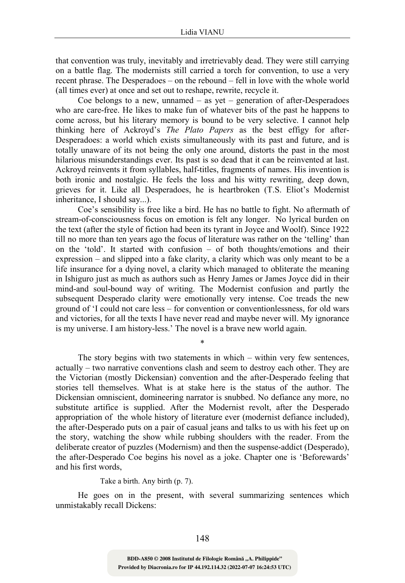that convention was truly, inevitably and irretrievably dead. They were still carrying on a battle flag. The modernists still carried a torch for convention, to use a very recent phrase. The Desperadoes – on the rebound – fell in love with the whole world (all times ever) at once and set out to reshape, rewrite, recycle it.

Coe belongs to a new, unnamed  $-$  as yet  $-$  generation of after-Desperadoes who are care-free. He likes to make fun of whatever bits of the past he happens to come across, but his literary memory is bound to be very selective. I cannot help thinking here of Ackroyd's The Plato Papers as the best effigy for after-Desperadoes: a world which exists simultaneously with its past and future, and is totally unaware of its not being the only one around, distorts the past in the most hilarious misunderstandings ever. Its past is so dead that it can be reinvented at last. Ackroyd reinvents it from syllables, half-titles, fragments of names. His invention is both ironic and nostalgic. He feels the loss and his witty rewriting, deep down, grieves for it. Like all Desperadoes, he is heartbroken (T.S. Eliot's Modernist inheritance, I should say...).

Coe's sensibility is free like a bird. He has no battle to fight. No aftermath of stream-of-consciousness focus on emotion is felt any longer. No lyrical burden on the text (after the style of fiction had been its tyrant in Joyce and Woolf). Since 1922 till no more than ten years ago the focus of literature was rather on the 'telling' than on the 'told'. It started with confusion – of both thoughts/emotions and their expression – and slipped into a fake clarity, a clarity which was only meant to be a life insurance for a dying novel, a clarity which managed to obliterate the meaning in Ishiguro just as much as authors such as Henry James or James Joyce did in their mind-and soul-bound way of writing. The Modernist confusion and partly the subsequent Desperado clarity were emotionally very intense. Coe treads the new ground of 'I could not care less – for convention or conventionlessness, for old wars and victories, for all the texts I have never read and maybe never will. My ignorance is my universe. I am history-less.' The novel is a brave new world again.

\*

The story begins with two statements in which – within very few sentences, actually – two narrative conventions clash and seem to destroy each other. They are the Victorian (mostly Dickensian) convention and the after-Desperado feeling that stories tell themselves. What is at stake here is the status of the author. The Dickensian omniscient, domineering narrator is snubbed. No defiance any more, no substitute artifice is supplied. After the Modernist revolt, after the Desperado appropriation of the whole history of literature ever (modernist defiance included), the after-Desperado puts on a pair of casual jeans and talks to us with his feet up on the story, watching the show while rubbing shoulders with the reader. From the deliberate creator of puzzles (Modernism) and then the suspense-addict (Desperado), the after-Desperado Coe begins his novel as a joke. Chapter one is 'Beforewards' and his first words,

Take a birth. Any birth (p. 7).

He goes on in the present, with several summarizing sentences which unmistakably recall Dickens: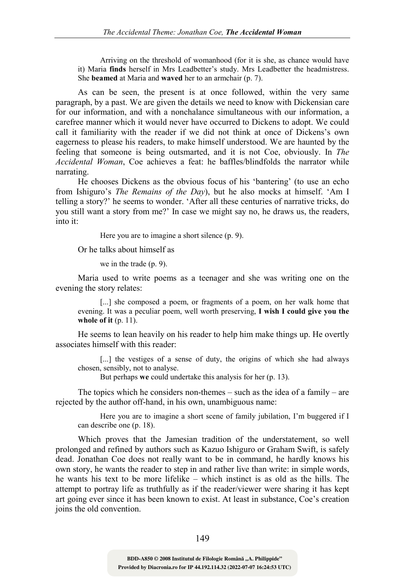Arriving on the threshold of womanhood (for it is she, as chance would have it) Maria finds herself in Mrs Leadbetter's study. Mrs Leadbetter the headmistress. She beamed at Maria and waved her to an armchair (p. 7).

As can be seen, the present is at once followed, within the very same paragraph, by a past. We are given the details we need to know with Dickensian care for our information, and with a nonchalance simultaneous with our information, a carefree manner which it would never have occurred to Dickens to adopt. We could call it familiarity with the reader if we did not think at once of Dickens's own eagerness to please his readers, to make himself understood. We are haunted by the feeling that someone is being outsmarted, and it is not Coe, obviously. In The Accidental Woman, Coe achieves a feat: he baffles/blindfolds the narrator while narrating.

He chooses Dickens as the obvious focus of his 'bantering' (to use an echo from Ishiguro's The Remains of the Day), but he also mocks at himself. 'Am I telling a story?' he seems to wonder. 'After all these centuries of narrative tricks, do you still want a story from me?' In case we might say no, he draws us, the readers, into it:

Here you are to imagine a short silence (p. 9).

Or he talks about himself as

we in the trade (p. 9).

Maria used to write poems as a teenager and she was writing one on the evening the story relates:

[...] she composed a poem, or fragments of a poem, on her walk home that evening. It was a peculiar poem, well worth preserving, I wish I could give you the whole of it  $(p. 11)$ .

He seems to lean heavily on his reader to help him make things up. He overtly associates himself with this reader:

[...] the vestiges of a sense of duty, the origins of which she had always chosen, sensibly, not to analyse.

But perhaps we could undertake this analysis for her (p. 13).

The topics which he considers non-themes – such as the idea of a family – are rejected by the author off-hand, in his own, unambiguous name:

Here you are to imagine a short scene of family jubilation, I'm buggered if I can describe one (p. 18).

Which proves that the Jamesian tradition of the understatement, so well prolonged and refined by authors such as Kazuo Ishiguro or Graham Swift, is safely dead. Jonathan Coe does not really want to be in command, he hardly knows his own story, he wants the reader to step in and rather live than write: in simple words, he wants his text to be more lifelike – which instinct is as old as the hills. The attempt to portray life as truthfully as if the reader/viewer were sharing it has kept art going ever since it has been known to exist. At least in substance, Coe's creation joins the old convention.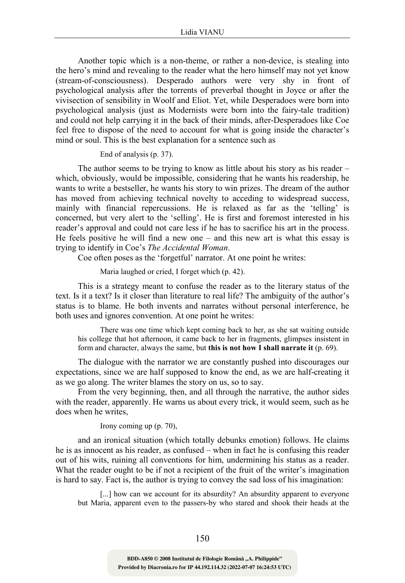Another topic which is a non-theme, or rather a non-device, is stealing into the hero's mind and revealing to the reader what the hero himself may not yet know (stream-of-consciousness). Desperado authors were very shy in front of psychological analysis after the torrents of preverbal thought in Joyce or after the vivisection of sensibility in Woolf and Eliot. Yet, while Desperadoes were born into psychological analysis (just as Modernists were born into the fairy-tale tradition) and could not help carrying it in the back of their minds, after-Desperadoes like Coe feel free to dispose of the need to account for what is going inside the character's mind or soul. This is the best explanation for a sentence such as

## End of analysis (p. 37).

The author seems to be trying to know as little about his story as his reader – which, obviously, would be impossible, considering that he wants his readership, he wants to write a bestseller, he wants his story to win prizes. The dream of the author has moved from achieving technical novelty to acceding to widespread success, mainly with financial repercussions. He is relaxed as far as the 'telling' is concerned, but very alert to the 'selling'. He is first and foremost interested in his reader's approval and could not care less if he has to sacrifice his art in the process. He feels positive he will find a new one  $-$  and this new art is what this essay is trying to identify in Coe's The Accidental Woman.

Coe often poses as the 'forgetful' narrator. At one point he writes:

Maria laughed or cried, I forget which (p. 42).

This is a strategy meant to confuse the reader as to the literary status of the text. Is it a text? Is it closer than literature to real life? The ambiguity of the author's status is to blame. He both invents and narrates without personal interference, he both uses and ignores convention. At one point he writes:

There was one time which kept coming back to her, as she sat waiting outside his college that hot afternoon, it came back to her in fragments, glimpses insistent in form and character, always the same, but this is not how I shall narrate it (p. 69).

The dialogue with the narrator we are constantly pushed into discourages our expectations, since we are half supposed to know the end, as we are half-creating it as we go along. The writer blames the story on us, so to say.

From the very beginning, then, and all through the narrative, the author sides with the reader, apparently. He warns us about every trick, it would seem, such as he does when he writes,

Irony coming up (p. 70),

and an ironical situation (which totally debunks emotion) follows. He claims he is as innocent as his reader, as confused – when in fact he is confusing this reader out of his wits, ruining all conventions for him, undermining his status as a reader. What the reader ought to be if not a recipient of the fruit of the writer's imagination is hard to say. Fact is, the author is trying to convey the sad loss of his imagination:

[...] how can we account for its absurdity? An absurdity apparent to everyone but Maria, apparent even to the passers-by who stared and shook their heads at the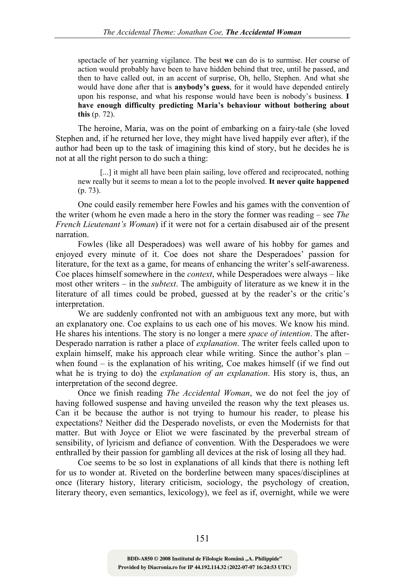spectacle of her yearning vigilance. The best we can do is to surmise. Her course of action would probably have been to have hidden behind that tree, until he passed, and then to have called out, in an accent of surprise, Oh, hello, Stephen. And what she would have done after that is **anybody's guess**, for it would have depended entirely upon his response, and what his response would have been is nobody's business. I have enough difficulty predicting Maria's behaviour without bothering about this (p. 72).

The heroine, Maria, was on the point of embarking on a fairy-tale (she loved Stephen and, if he returned her love, they might have lived happily ever after), if the author had been up to the task of imagining this kind of story, but he decides he is not at all the right person to do such a thing:

[...] it might all have been plain sailing, love offered and reciprocated, nothing new really but it seems to mean a lot to the people involved. It never quite happened (p. 73).

One could easily remember here Fowles and his games with the convention of the writer (whom he even made a hero in the story the former was reading – see The French Lieutenant's Woman) if it were not for a certain disabused air of the present narration.

Fowles (like all Desperadoes) was well aware of his hobby for games and enjoyed every minute of it. Coe does not share the Desperadoes' passion for literature, for the text as a game, for means of enhancing the writer's self-awareness. Coe places himself somewhere in the context, while Desperadoes were always – like most other writers – in the subtext. The ambiguity of literature as we knew it in the literature of all times could be probed, guessed at by the reader's or the critic's interpretation.

We are suddenly confronted not with an ambiguous text any more, but with an explanatory one. Coe explains to us each one of his moves. We know his mind. He shares his intentions. The story is no longer a mere *space of intention*. The after-Desperado narration is rather a place of explanation. The writer feels called upon to explain himself, make his approach clear while writing. Since the author's plan – when found  $-$  is the explanation of his writing, Coe makes himself (if we find out what he is trying to do) the *explanation of an explanation*. His story is, thus, an interpretation of the second degree.

Once we finish reading The Accidental Woman, we do not feel the joy of having followed suspense and having unveiled the reason why the text pleases us. Can it be because the author is not trying to humour his reader, to please his expectations? Neither did the Desperado novelists, or even the Modernists for that matter. But with Joyce or Eliot we were fascinated by the preverbal stream of sensibility, of lyricism and defiance of convention. With the Desperadoes we were enthralled by their passion for gambling all devices at the risk of losing all they had.

Coe seems to be so lost in explanations of all kinds that there is nothing left for us to wonder at. Riveted on the borderline between many spaces/disciplines at once (literary history, literary criticism, sociology, the psychology of creation, literary theory, even semantics, lexicology), we feel as if, overnight, while we were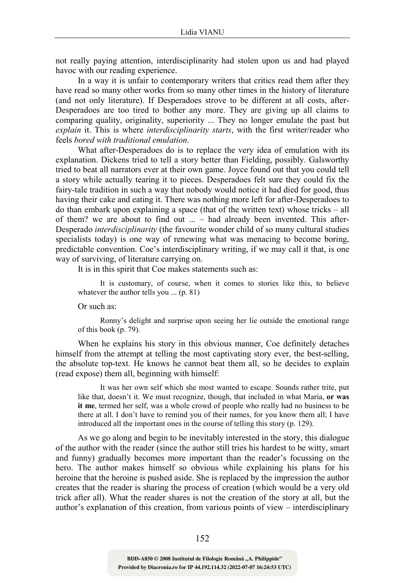not really paying attention, interdisciplinarity had stolen upon us and had played havoc with our reading experience.

In a way it is unfair to contemporary writers that critics read them after they have read so many other works from so many other times in the history of literature (and not only literature). If Desperadoes strove to be different at all costs, after-Desperadoes are too tired to bother any more. They are giving up all claims to comparing quality, originality, superiority ... They no longer emulate the past but explain it. This is where *interdisciplinarity starts*, with the first writer/reader who feels bored with traditional emulation.

What after-Desperadoes do is to replace the very idea of emulation with its explanation. Dickens tried to tell a story better than Fielding, possibly. Galsworthy tried to beat all narrators ever at their own game. Joyce found out that you could tell a story while actually tearing it to pieces. Desperadoes felt sure they could fix the fairy-tale tradition in such a way that nobody would notice it had died for good, thus having their cake and eating it. There was nothing more left for after-Desperadoes to do than embark upon explaining a space (that of the written text) whose tricks – all of them? we are about to find out ... – had already been invented. This after-Desperado interdisciplinarity (the favourite wonder child of so many cultural studies specialists today) is one way of renewing what was menacing to become boring, predictable convention. Coe's interdisciplinary writing, if we may call it that, is one way of surviving, of literature carrying on.

It is in this spirit that Coe makes statements such as:

It is customary, of course, when it comes to stories like this, to believe whatever the author tells you ... (p. 81)

Or such as:

Ronny's delight and surprise upon seeing her lie outside the emotional range of this book (p. 79).

When he explains his story in this obvious manner, Coe definitely detaches himself from the attempt at telling the most captivating story ever, the best-selling, the absolute top-text. He knows he cannot beat them all, so he decides to explain (read expose) them all, beginning with himself:

It was her own self which she most wanted to escape. Sounds rather trite, put like that, doesn't it. We must recognize, though, that included in what Maria, or was it me, termed her self, was a whole crowd of people who really had no business to be there at all. I don't have to remind you of their names, for you know them all; I have introduced all the important ones in the course of telling this story (p. 129).

As we go along and begin to be inevitably interested in the story, this dialogue of the author with the reader (since the author still tries his hardest to be witty, smart and funny) gradually becomes more important than the reader's focussing on the hero. The author makes himself so obvious while explaining his plans for his heroine that the heroine is pushed aside. She is replaced by the impression the author creates that the reader is sharing the process of creation (which would be a very old trick after all). What the reader shares is not the creation of the story at all, but the author's explanation of this creation, from various points of view – interdisciplinary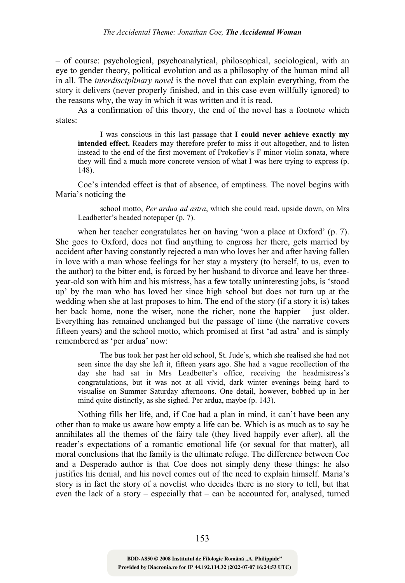– of course: psychological, psychoanalytical, philosophical, sociological, with an eye to gender theory, political evolution and as a philosophy of the human mind all in all. The interdisciplinary novel is the novel that can explain everything, from the story it delivers (never properly finished, and in this case even willfully ignored) to the reasons why, the way in which it was written and it is read.

As a confirmation of this theory, the end of the novel has a footnote which states:

I was conscious in this last passage that I could never achieve exactly my intended effect. Readers may therefore prefer to miss it out altogether, and to listen instead to the end of the first movement of Prokofiev's F minor violin sonata, where they will find a much more concrete version of what I was here trying to express (p. 148).

Coe's intended effect is that of absence, of emptiness. The novel begins with Maria's noticing the

school motto, Per ardua ad astra, which she could read, upside down, on Mrs Leadbetter's headed notepaper (p. 7).

when her teacher congratulates her on having 'won a place at Oxford' (p. 7). She goes to Oxford, does not find anything to engross her there, gets married by accident after having constantly rejected a man who loves her and after having fallen in love with a man whose feelings for her stay a mystery (to herself, to us, even to the author) to the bitter end, is forced by her husband to divorce and leave her threeyear-old son with him and his mistress, has a few totally uninteresting jobs, is 'stood up' by the man who has loved her since high school but does not turn up at the wedding when she at last proposes to him. The end of the story (if a story it is) takes her back home, none the wiser, none the richer, none the happier – just older. Everything has remained unchanged but the passage of time (the narrative covers fifteen years) and the school motto, which promised at first 'ad astra' and is simply remembered as 'per ardua' now:

The bus took her past her old school, St. Jude's, which she realised she had not seen since the day she left it, fifteen years ago. She had a vague recollection of the day she had sat in Mrs Leadbetter's office, receiving the headmistress's congratulations, but it was not at all vivid, dark winter evenings being hard to visualise on Summer Saturday afternoons. One detail, however, bobbed up in her mind quite distinctly, as she sighed. Per ardua, maybe (p. 143).

Nothing fills her life, and, if Coe had a plan in mind, it can't have been any other than to make us aware how empty a life can be. Which is as much as to say he annihilates all the themes of the fairy tale (they lived happily ever after), all the reader's expectations of a romantic emotional life (or sexual for that matter), all moral conclusions that the family is the ultimate refuge. The difference between Coe and a Desperado author is that Coe does not simply deny these things: he also justifies his denial, and his novel comes out of the need to explain himself. Maria's story is in fact the story of a novelist who decides there is no story to tell, but that even the lack of a story – especially that – can be accounted for, analysed, turned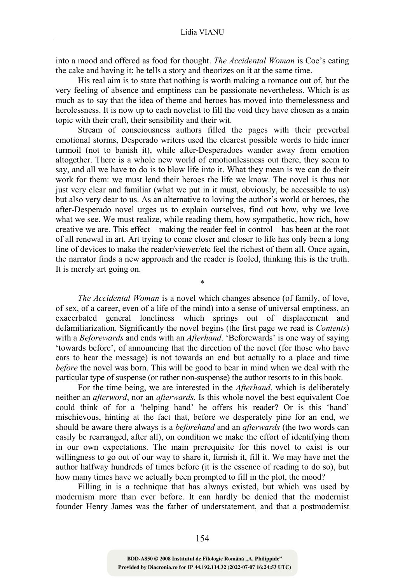into a mood and offered as food for thought. The Accidental Woman is Coe's eating the cake and having it: he tells a story and theorizes on it at the same time.

His real aim is to state that nothing is worth making a romance out of, but the very feeling of absence and emptiness can be passionate nevertheless. Which is as much as to say that the idea of theme and heroes has moved into themelessness and herolessness. It is now up to each novelist to fill the void they have chosen as a main topic with their craft, their sensibility and their wit.

Stream of consciousness authors filled the pages with their preverbal emotional storms, Desperado writers used the clearest possible words to hide inner turmoil (not to banish it), while after-Desperadoes wander away from emotion altogether. There is a whole new world of emotionlessness out there, they seem to say, and all we have to do is to blow life into it. What they mean is we can do their work for them: we must lend their heroes the life we know. The novel is thus not just very clear and familiar (what we put in it must, obviously, be accessible to us) but also very dear to us. As an alternative to loving the author's world or heroes, the after-Desperado novel urges us to explain ourselves, find out how, why we love what we see. We must realize, while reading them, how sympathetic, how rich, how creative we are. This effect – making the reader feel in control – has been at the root of all renewal in art. Art trying to come closer and closer to life has only been a long line of devices to make the reader/viewer/etc feel the richest of them all. Once again, the narrator finds a new approach and the reader is fooled, thinking this is the truth. It is merely art going on.

The Accidental Woman is a novel which changes absence (of family, of love, of sex, of a career, even of a life of the mind) into a sense of universal emptiness, an exacerbated general loneliness which springs out of displacement and defamiliarization. Significantly the novel begins (the first page we read is Contents) with a *Beforewards* and ends with an *Afterhand*. 'Beforewards' is one way of saying 'towards before', of announcing that the direction of the novel (for those who have ears to hear the message) is not towards an end but actually to a place and time before the novel was born. This will be good to bear in mind when we deal with the particular type of suspense (or rather non-suspense) the author resorts to in this book.

\*

For the time being, we are interested in the *Afterhand*, which is deliberately neither an afterword, nor an afterwards. Is this whole novel the best equivalent Coe could think of for a 'helping hand' he offers his reader? Or is this 'hand' mischievous, hinting at the fact that, before we desperately pine for an end, we should be aware there always is a *beforehand* and an *afterwards* (the two words can easily be rearranged, after all), on condition we make the effort of identifying them in our own expectations. The main prerequisite for this novel to exist is our willingness to go out of our way to share it, furnish it, fill it. We may have met the author halfway hundreds of times before (it is the essence of reading to do so), but how many times have we actually been prompted to fill in the plot, the mood?

Filling in is a technique that has always existed, but which was used by modernism more than ever before. It can hardly be denied that the modernist founder Henry James was the father of understatement, and that a postmodernist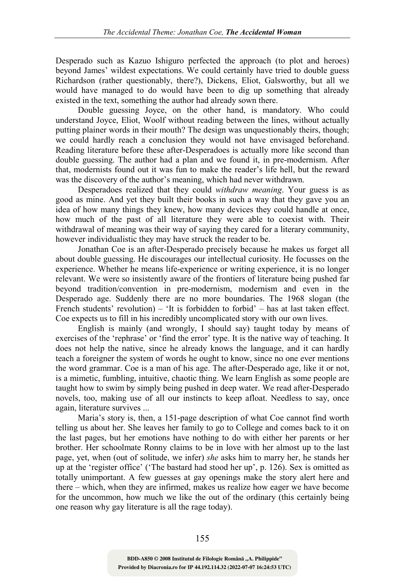Desperado such as Kazuo Ishiguro perfected the approach (to plot and heroes) beyond James' wildest expectations. We could certainly have tried to double guess Richardson (rather questionably, there?), Dickens, Eliot, Galsworthy, but all we would have managed to do would have been to dig up something that already existed in the text, something the author had already sown there.

Double guessing Joyce, on the other hand, is mandatory. Who could understand Joyce, Eliot, Woolf without reading between the lines, without actually putting plainer words in their mouth? The design was unquestionably theirs, though; we could hardly reach a conclusion they would not have envisaged beforehand. Reading literature before these after-Desperadoes is actually more like second than double guessing. The author had a plan and we found it, in pre-modernism. After that, modernists found out it was fun to make the reader's life hell, but the reward was the discovery of the author's meaning, which had never withdrawn.

Desperadoes realized that they could withdraw meaning. Your guess is as good as mine. And yet they built their books in such a way that they gave you an idea of how many things they knew, how many devices they could handle at once, how much of the past of all literature they were able to coexist with. Their withdrawal of meaning was their way of saying they cared for a literary community, however individualistic they may have struck the reader to be.

Jonathan Coe is an after-Desperado precisely because he makes us forget all about double guessing. He discourages our intellectual curiosity. He focusses on the experience. Whether he means life-experience or writing experience, it is no longer relevant. We were so insistently aware of the frontiers of literature being pushed far beyond tradition/convention in pre-modernism, modernism and even in the Desperado age. Suddenly there are no more boundaries. The 1968 slogan (the French students' revolution) – 'It is forbidden to forbid' – has at last taken effect. Coe expects us to fill in his incredibly uncomplicated story with our own lives.

English is mainly (and wrongly, I should say) taught today by means of exercises of the 'rephrase' or 'find the error' type. It is the native way of teaching. It does not help the native, since he already knows the language, and it can hardly teach a foreigner the system of words he ought to know, since no one ever mentions the word grammar. Coe is a man of his age. The after-Desperado age, like it or not, is a mimetic, fumbling, intuitive, chaotic thing. We learn English as some people are taught how to swim by simply being pushed in deep water. We read after-Desperado novels, too, making use of all our instincts to keep afloat. Needless to say, once again, literature survives ...

Maria's story is, then, a 151-page description of what Coe cannot find worth telling us about her. She leaves her family to go to College and comes back to it on the last pages, but her emotions have nothing to do with either her parents or her brother. Her schoolmate Ronny claims to be in love with her almost up to the last page, yet, when (out of solitude, we infer) she asks him to marry her, he stands her up at the 'register office' ('The bastard had stood her up', p. 126). Sex is omitted as totally unimportant. A few guesses at gay openings make the story alert here and there – which, when they are infirmed, makes us realize how eager we have become for the uncommon, how much we like the out of the ordinary (this certainly being one reason why gay literature is all the rage today).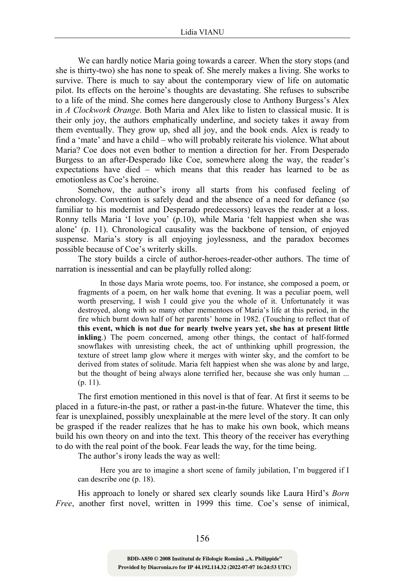We can hardly notice Maria going towards a career. When the story stops (and she is thirty-two) she has none to speak of. She merely makes a living. She works to survive. There is much to say about the contemporary view of life on automatic pilot. Its effects on the heroine's thoughts are devastating. She refuses to subscribe to a life of the mind. She comes here dangerously close to Anthony Burgess's Alex in A Clockwork Orange. Both Maria and Alex like to listen to classical music. It is their only joy, the authors emphatically underline, and society takes it away from them eventually. They grow up, shed all joy, and the book ends. Alex is ready to find a 'mate' and have a child – who will probably reiterate his violence. What about Maria? Coe does not even bother to mention a direction for her. From Desperado Burgess to an after-Desperado like Coe, somewhere along the way, the reader's expectations have died – which means that this reader has learned to be as emotionless as Coe's heroine.

Somehow, the author's irony all starts from his confused feeling of chronology. Convention is safely dead and the absence of a need for defiance (so familiar to his modernist and Desperado predecessors) leaves the reader at a loss. Ronny tells Maria 'I love you' (p.10), while Maria 'felt happiest when she was alone' (p. 11). Chronological causality was the backbone of tension, of enjoyed suspense. Maria's story is all enjoying joylessness, and the paradox becomes possible because of Coe's writerly skills.

The story builds a circle of author-heroes-reader-other authors. The time of narration is inessential and can be playfully rolled along:

In those days Maria wrote poems, too. For instance, she composed a poem, or fragments of a poem, on her walk home that evening. It was a peculiar poem, well worth preserving, I wish I could give you the whole of it. Unfortunately it was destroyed, along with so many other mementoes of Maria's life at this period, in the fire which burnt down half of her parents' home in 1982. (Touching to reflect that of this event, which is not due for nearly twelve years yet, she has at present little inkling.) The poem concerned, among other things, the contact of half-formed snowflakes with unresisting cheek, the act of unthinking uphill progression, the texture of street lamp glow where it merges with winter sky, and the comfort to be derived from states of solitude. Maria felt happiest when she was alone by and large, but the thought of being always alone terrified her, because she was only human ... (p. 11).

The first emotion mentioned in this novel is that of fear. At first it seems to be placed in a future-in-the past, or rather a past-in-the future. Whatever the time, this fear is unexplained, possibly unexplainable at the mere level of the story. It can only be grasped if the reader realizes that he has to make his own book, which means build his own theory on and into the text. This theory of the receiver has everything to do with the real point of the book. Fear leads the way, for the time being.

The author's irony leads the way as well:

Here you are to imagine a short scene of family jubilation, I'm buggered if I can describe one (p. 18).

His approach to lonely or shared sex clearly sounds like Laura Hird's Born Free, another first novel, written in 1999 this time. Coe's sense of inimical,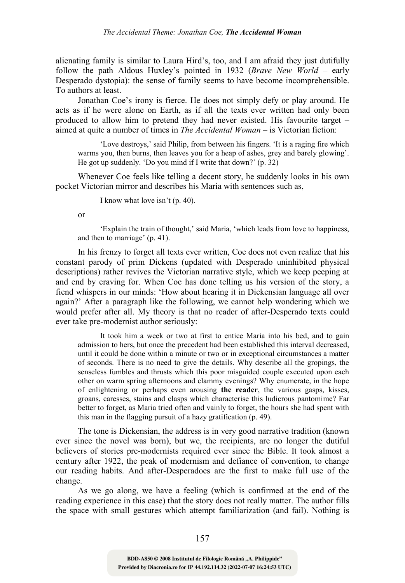alienating family is similar to Laura Hird's, too, and I am afraid they just dutifully follow the path Aldous Huxley's pointed in 1932 (Brave New World – early Desperado dystopia): the sense of family seems to have become incomprehensible. To authors at least.

Jonathan Coe's irony is fierce. He does not simply defy or play around. He acts as if he were alone on Earth, as if all the texts ever written had only been produced to allow him to pretend they had never existed. His favourite target – aimed at quite a number of times in The Accidental Woman – is Victorian fiction:

'Love destroys,' said Philip, from between his fingers. 'It is a raging fire which warms you, then burns, then leaves you for a heap of ashes, grey and barely glowing'. He got up suddenly. 'Do you mind if I write that down?' (p. 32)

Whenever Coe feels like telling a decent story, he suddenly looks in his own pocket Victorian mirror and describes his Maria with sentences such as,

I know what love isn't (p. 40).

or

'Explain the train of thought,' said Maria, 'which leads from love to happiness, and then to marriage' (p. 41).

In his frenzy to forget all texts ever written, Coe does not even realize that his constant parody of prim Dickens (updated with Desperado uninhibited physical descriptions) rather revives the Victorian narrative style, which we keep peeping at and end by craving for. When Coe has done telling us his version of the story, a fiend whispers in our minds: 'How about hearing it in Dickensian language all over again?' After a paragraph like the following, we cannot help wondering which we would prefer after all. My theory is that no reader of after-Desperado texts could ever take pre-modernist author seriously:

It took him a week or two at first to entice Maria into his bed, and to gain admission to hers, but once the precedent had been established this interval decreased, until it could be done within a minute or two or in exceptional circumstances a matter of seconds. There is no need to give the details. Why describe all the gropings, the senseless fumbles and thrusts which this poor misguided couple executed upon each other on warm spring afternoons and clammy evenings? Why enumerate, in the hope of enlightening or perhaps even arousing the reader, the various gasps, kisses, groans, caresses, stains and clasps which characterise this ludicrous pantomime? Far better to forget, as Maria tried often and vainly to forget, the hours she had spent with this man in the flagging pursuit of a hazy gratification (p. 49).

The tone is Dickensian, the address is in very good narrative tradition (known ever since the novel was born), but we, the recipients, are no longer the dutiful believers of stories pre-modernists required ever since the Bible. It took almost a century after 1922, the peak of modernism and defiance of convention, to change our reading habits. And after-Desperadoes are the first to make full use of the change.

As we go along, we have a feeling (which is confirmed at the end of the reading experience in this case) that the story does not really matter. The author fills the space with small gestures which attempt familiarization (and fail). Nothing is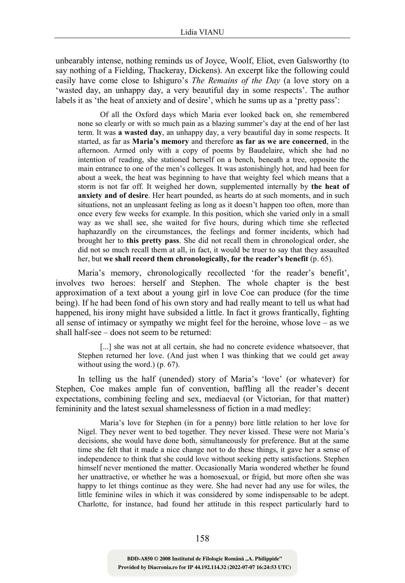unbearably intense, nothing reminds us of Joyce, Woolf, Eliot, even Galsworthy (to say nothing of a Fielding, Thackeray, Dickens). An excerpt like the following could easily have come close to Ishiguro's *The Remains of the Day* (a love story on a 'wasted day, an unhappy day, a very beautiful day in some respects'. The author labels it as 'the heat of anxiety and of desire', which he sums up as a 'pretty pass':

Of all the Oxford days which Maria ever looked back on, she remembered none so clearly or with so much pain as a blazing summer's day at the end of her last term. It was a wasted day, an unhappy day, a very beautiful day in some respects. It started, as far as Maria's memory and therefore as far as we are concerned, in the afternoon. Armed only with a copy of poems by Baudelaire, which she had no intention of reading, she stationed herself on a bench, beneath a tree, opposite the main entrance to one of the men's colleges. It was astonishingly hot, and had been for about a week, the heat was beginning to have that weighty feel which means that a storm is not far off. It weighed her down, supplemented internally by the heat of anxiety and of desire. Her heart pounded, as hearts do at such moments, and in such situations, not an unpleasant feeling as long as it doesn't happen too often, more than once every few weeks for example. In this position, which she varied only in a small way as we shall see, she waited for five hours, during which time she reflected haphazardly on the circumstances, the feelings and former incidents, which had brought her to this pretty pass. She did not recall them in chronological order, she did not so much recall them at all, in fact, it would be truer to say that they assaulted her, but we shall record them chronologically, for the reader's benefit (p. 65).

Maria's memory, chronologically recollected 'for the reader's benefit', involves two heroes: herself and Stephen. The whole chapter is the best approximation of a text about a young girl in love Coe can produce (for the time being). If he had been fond of his own story and had really meant to tell us what had happened, his irony might have subsided a little. In fact it grows frantically, fighting all sense of intimacy or sympathy we might feel for the heroine, whose love – as we shall half-see – does not seem to be returned:

[...] she was not at all certain, she had no concrete evidence whatsoever, that Stephen returned her love. (And just when I was thinking that we could get away without using the word.) (p. 67).

In telling us the half (unended) story of Maria's 'love' (or whatever) for Stephen, Coe makes ample fun of convention, baffling all the reader's decent expectations, combining feeling and sex, mediaeval (or Victorian, for that matter) femininity and the latest sexual shamelessness of fiction in a mad medley:

Maria's love for Stephen (in for a penny) bore little relation to her love for Nigel. They never went to bed together. They never kissed. These were not Maria's decisions, she would have done both, simultaneously for preference. But at the same time she felt that it made a nice change not to do these things, it gave her a sense of independence to think that she could love without seeking petty satisfactions. Stephen himself never mentioned the matter. Occasionally Maria wondered whether he found her unattractive, or whether he was a homosexual, or frigid, but more often she was happy to let things continue as they were. She had never had any use for wiles, the little feminine wiles in which it was considered by some indispensable to be adept. Charlotte, for instance, had found her attitude in this respect particularly hard to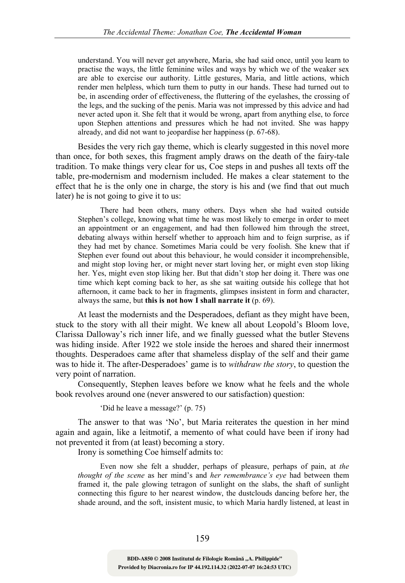understand. You will never get anywhere, Maria, she had said once, until you learn to practise the ways, the little feminine wiles and ways by which we of the weaker sex are able to exercise our authority. Little gestures, Maria, and little actions, which render men helpless, which turn them to putty in our hands. These had turned out to be, in ascending order of effectiveness, the fluttering of the eyelashes, the crossing of the legs, and the sucking of the penis. Maria was not impressed by this advice and had never acted upon it. She felt that it would be wrong, apart from anything else, to force upon Stephen attentions and pressures which he had not invited. She was happy already, and did not want to jeopardise her happiness (p. 67-68).

Besides the very rich gay theme, which is clearly suggested in this novel more than once, for both sexes, this fragment amply draws on the death of the fairy-tale tradition. To make things very clear for us, Coe steps in and pushes all texts off the table, pre-modernism and modernism included. He makes a clear statement to the effect that he is the only one in charge, the story is his and (we find that out much later) he is not going to give it to us:

There had been others, many others. Days when she had waited outside Stephen's college, knowing what time he was most likely to emerge in order to meet an appointment or an engagement, and had then followed him through the street, debating always within herself whether to approach him and to feign surprise, as if they had met by chance. Sometimes Maria could be very foolish. She knew that if Stephen ever found out about this behaviour, he would consider it incomprehensible, and might stop loving her, or might never start loving her, or might even stop liking her. Yes, might even stop liking her. But that didn't stop her doing it. There was one time which kept coming back to her, as she sat waiting outside his college that hot afternoon, it came back to her in fragments, glimpses insistent in form and character, always the same, but this is not how I shall narrate it (p. 69).

At least the modernists and the Desperadoes, defiant as they might have been, stuck to the story with all their might. We knew all about Leopold's Bloom love, Clarissa Dalloway's rich inner life, and we finally guessed what the butler Stevens was hiding inside. After 1922 we stole inside the heroes and shared their innermost thoughts. Desperadoes came after that shameless display of the self and their game was to hide it. The after-Desperadoes' game is to *withdraw the story*, to question the very point of narration.

Consequently, Stephen leaves before we know what he feels and the whole book revolves around one (never answered to our satisfaction) question:

'Did he leave a message?' (p. 75)

The answer to that was 'No', but Maria reiterates the question in her mind again and again, like a leitmotif, a memento of what could have been if irony had not prevented it from (at least) becoming a story.

Irony is something Coe himself admits to:

Even now she felt a shudder, perhaps of pleasure, perhaps of pain, at the thought of the scene as her mind's and her remembrance's eye had between them framed it, the pale glowing tetragon of sunlight on the slabs, the shaft of sunlight connecting this figure to her nearest window, the dustclouds dancing before her, the shade around, and the soft, insistent music, to which Maria hardly listened, at least in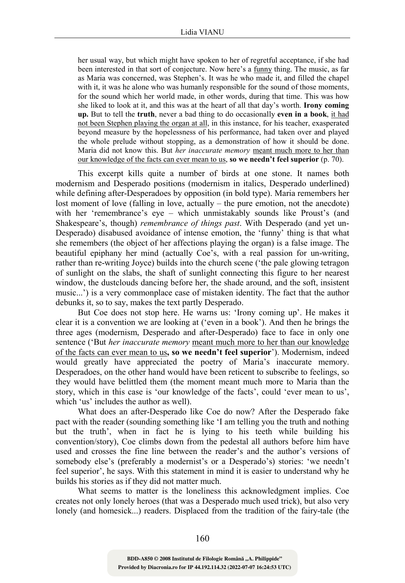her usual way, but which might have spoken to her of regretful acceptance, if she had been interested in that sort of conjecture. Now here's a funny thing. The music, as far as Maria was concerned, was Stephen's. It was he who made it, and filled the chapel with it, it was he alone who was humanly responsible for the sound of those moments, for the sound which her world made, in other words, during that time. This was how she liked to look at it, and this was at the heart of all that day's worth. Irony coming up. But to tell the truth, never a bad thing to do occasionally even in a book, it had not been Stephen playing the organ at all, in this instance, for his teacher, exasperated beyond measure by the hopelessness of his performance, had taken over and played the whole prelude without stopping, as a demonstration of how it should be done. Maria did not know this. But her inaccurate memory meant much more to her than our knowledge of the facts can ever mean to us, so we needn't feel superior (p. 70).

This excerpt kills quite a number of birds at one stone. It names both modernism and Desperado positions (modernism in italics, Desperado underlined) while defining after-Desperadoes by opposition (in bold type). Maria remembers her lost moment of love (falling in love, actually – the pure emotion, not the anecdote) with her 'remembrance's eye – which unmistakably sounds like Proust's (and Shakespeare's, though) remembrance of things past. With Desperado (and yet un-Desperado) disabused avoidance of intense emotion, the 'funny' thing is that what she remembers (the object of her affections playing the organ) is a false image. The beautiful epiphany her mind (actually Coe's, with a real passion for un-writing, rather than re-writing Joyce) builds into the church scene ('the pale glowing tetragon of sunlight on the slabs, the shaft of sunlight connecting this figure to her nearest window, the dustclouds dancing before her, the shade around, and the soft, insistent music...') is a very commonplace case of mistaken identity. The fact that the author debunks it, so to say, makes the text partly Desperado.

But Coe does not stop here. He warns us: 'Irony coming up'. He makes it clear it is a convention we are looking at ('even in a book'). And then he brings the three ages (modernism, Desperado and after-Desperado) face to face in only one sentence ('But *her inaccurate memory* meant much more to her than our knowledge of the facts can ever mean to us, so we needn't feel superior'). Modernism, indeed would greatly have appreciated the poetry of Maria's inaccurate memory. Desperadoes, on the other hand would have been reticent to subscribe to feelings, so they would have belittled them (the moment meant much more to Maria than the story, which in this case is 'our knowledge of the facts', could 'ever mean to us', which 'us' includes the author as well).

What does an after-Desperado like Coe do now? After the Desperado fake pact with the reader (sounding something like 'I am telling you the truth and nothing but the truth', when in fact he is lying to his teeth while building his convention/story), Coe climbs down from the pedestal all authors before him have used and crosses the fine line between the reader's and the author's versions of somebody else's (preferably a modernist's or a Desperado's) stories: 'we needn't feel superior', he says. With this statement in mind it is easier to understand why he builds his stories as if they did not matter much.

What seems to matter is the loneliness this acknowledgment implies. Coe creates not only lonely heroes (that was a Desperado much used trick), but also very lonely (and homesick...) readers. Displaced from the tradition of the fairy-tale (the

160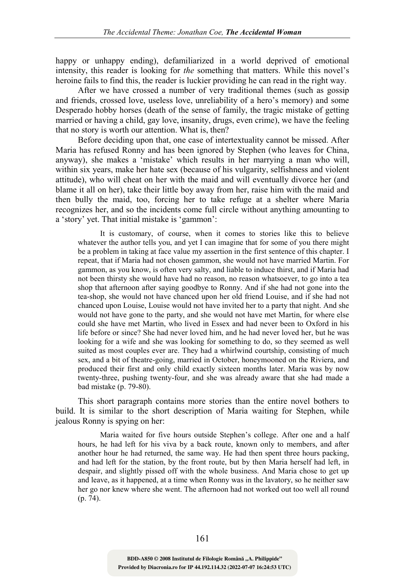happy or unhappy ending), defamiliarized in a world deprived of emotional intensity, this reader is looking for the something that matters. While this novel's heroine fails to find this, the reader is luckier providing he can read in the right way.

After we have crossed a number of very traditional themes (such as gossip and friends, crossed love, useless love, unreliability of a hero's memory) and some Desperado hobby horses (death of the sense of family, the tragic mistake of getting married or having a child, gay love, insanity, drugs, even crime), we have the feeling that no story is worth our attention. What is, then?

Before deciding upon that, one case of intertextuality cannot be missed. After Maria has refused Ronny and has been ignored by Stephen (who leaves for China, anyway), she makes a 'mistake' which results in her marrying a man who will, within six years, make her hate sex (because of his vulgarity, selfishness and violent attitude), who will cheat on her with the maid and will eventually divorce her (and blame it all on her), take their little boy away from her, raise him with the maid and then bully the maid, too, forcing her to take refuge at a shelter where Maria recognizes her, and so the incidents come full circle without anything amounting to a 'story' yet. That initial mistake is 'gammon':

It is customary, of course, when it comes to stories like this to believe whatever the author tells you, and yet I can imagine that for some of you there might be a problem in taking at face value my assertion in the first sentence of this chapter. I repeat, that if Maria had not chosen gammon, she would not have married Martin. For gammon, as you know, is often very salty, and liable to induce thirst, and if Maria had not been thirsty she would have had no reason, no reason whatsoever, to go into a tea shop that afternoon after saying goodbye to Ronny. And if she had not gone into the tea-shop, she would not have chanced upon her old friend Louise, and if she had not chanced upon Louise, Louise would not have invited her to a party that night. And she would not have gone to the party, and she would not have met Martin, for where else could she have met Martin, who lived in Essex and had never been to Oxford in his life before or since? She had never loved him, and he had never loved her, but he was looking for a wife and she was looking for something to do, so they seemed as well suited as most couples ever are. They had a whirlwind courtship, consisting of much sex, and a bit of theatre-going, married in October, honeymooned on the Riviera, and produced their first and only child exactly sixteen months later. Maria was by now twenty-three, pushing twenty-four, and she was already aware that she had made a bad mistake (p. 79-80).

This short paragraph contains more stories than the entire novel bothers to build. It is similar to the short description of Maria waiting for Stephen, while jealous Ronny is spying on her:

Maria waited for five hours outside Stephen's college. After one and a half hours, he had left for his viva by a back route, known only to members, and after another hour he had returned, the same way. He had then spent three hours packing, and had left for the station, by the front route, but by then Maria herself had left, in despair, and slightly pissed off with the whole business. And Maria chose to get up and leave, as it happened, at a time when Ronny was in the lavatory, so he neither saw her go nor knew where she went. The afternoon had not worked out too well all round (p. 74).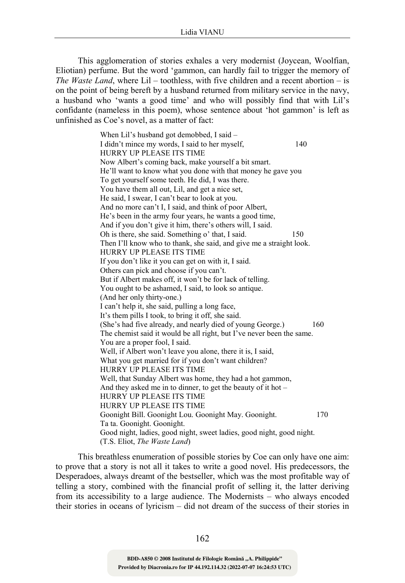This agglomeration of stories exhales a very modernist (Joycean, Woolfian, Eliotian) perfume. But the word 'gammon, can hardly fail to trigger the memory of The Waste Land, where  $Lil -$  toothless, with five children and a recent abortion – is on the point of being bereft by a husband returned from military service in the navy, a husband who 'wants a good time' and who will possibly find that with Lil's confidante (nameless in this poem), whose sentence about 'hot gammon' is left as unfinished as Coe's novel, as a matter of fact:

> When Lil's husband got demobbed, I said – I didn't mince my words, I said to her myself, 140 HURRY UP PLEASE ITS TIME Now Albert's coming back, make yourself a bit smart. He'll want to know what you done with that money he gave you To get yourself some teeth. He did, I was there. You have them all out, Lil, and get a nice set, He said, I swear, I can't bear to look at you. And no more can't I, I said, and think of poor Albert, He's been in the army four years, he wants a good time, And if you don't give it him, there's others will, I said. Oh is there, she said. Something o' that, I said. 150 Then I'll know who to thank, she said, and give me a straight look. HURRY UP PLEASE ITS TIME If you don't like it you can get on with it, I said. Others can pick and choose if you can't. But if Albert makes off, it won't be for lack of telling. You ought to be ashamed, I said, to look so antique. (And her only thirty-one.) I can't help it, she said, pulling a long face, It's them pills I took, to bring it off, she said. (She's had five already, and nearly died of young George.) 160 The chemist said it would be all right, but I've never been the same. You are a proper fool, I said. Well, if Albert won't leave you alone, there it is, I said, What you get married for if you don't want children? HURRY UP PLEASE ITS TIME Well, that Sunday Albert was home, they had a hot gammon, And they asked me in to dinner, to get the beauty of it hot – HURRY UP PLEASE ITS TIME HURRY UP PLEASE ITS TIME Goonight Bill. Goonight Lou. Goonight May. Goonight. 170 Ta ta. Goonight. Goonight. Good night, ladies, good night, sweet ladies, good night, good night. (T.S. Eliot, The Waste Land)

This breathless enumeration of possible stories by Coe can only have one aim: to prove that a story is not all it takes to write a good novel. His predecessors, the Desperadoes, always dreamt of the bestseller, which was the most profitable way of telling a story, combined with the financial profit of selling it, the latter deriving from its accessibility to a large audience. The Modernists – who always encoded their stories in oceans of lyricism – did not dream of the success of their stories in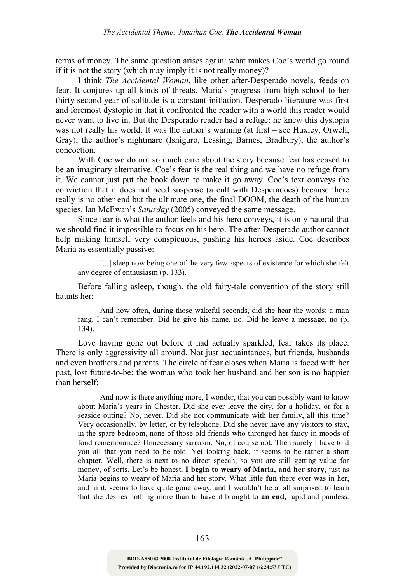terms of money. The same question arises again: what makes Coe's world go round if it is not the story (which may imply it is not really money)?

I think The Accidental Woman, like other after-Desperado novels, feeds on fear. It conjures up all kinds of threats. Maria's progress from high school to her thirty-second year of solitude is a constant initiation. Desperado literature was first and foremost dystopic in that it confronted the reader with a world this reader would never want to live in. But the Desperado reader had a refuge: he knew this dystopia was not really his world. It was the author's warning (at first – see Huxley, Orwell, Gray), the author's nightmare (Ishiguro, Lessing, Barnes, Bradbury), the author's concoction.

With Coe we do not so much care about the story because fear has ceased to be an imaginary alternative. Coe's fear is the real thing and we have no refuge from it. We cannot just put the book down to make it go away. Coe's text conveys the conviction that it does not need suspense (a cult with Desperadoes) because there really is no other end but the ultimate one, the final DOOM, the death of the human species. Ian McEwan's Saturday (2005) conveyed the same message.

Since fear is what the author feels and his hero conveys, it is only natural that we should find it impossible to focus on his hero. The after-Desperado author cannot help making himself very conspicuous, pushing his heroes aside. Coe describes Maria as essentially passive:

[...] sleep now being one of the very few aspects of existence for which she felt any degree of enthusiasm (p. 133).

Before falling asleep, though, the old fairy-tale convention of the story still haunts her:

And how often, during those wakeful seconds, did she hear the words: a man rang. I can't remember. Did he give his name, no. Did he leave a message, no (p. 134).

Love having gone out before it had actually sparkled, fear takes its place. There is only aggressivity all around. Not just acquaintances, but friends, husbands and even brothers and parents. The circle of fear closes when Maria is faced with her past, lost future-to-be: the woman who took her husband and her son is no happier than herself:

And now is there anything more, I wonder, that you can possibly want to know about Maria's years in Chester. Did she ever leave the city, for a holiday, or for a seaside outing? No, never. Did she not communicate with her family, all this time? Very occasionally, by letter, or by telephone. Did she never have any visitors to stay, in the spare bedroom, none of those old friends who thronged her fancy in moods of fond remembrance? Unnecessary sarcasm. No, of course not. Then surely I have told you all that you need to be told. Yet looking back, it seems to be rather a short chapter. Well, there is next to no direct speech, so you are still getting value for money, of sorts. Let's be honest, I begin to weary of Maria, and her story, just as Maria begins to weary of Maria and her story. What little fun there ever was in her, and in it, seems to have quite gone away, and I wouldn't be at all surprised to learn that she desires nothing more than to have it brought to an end, rapid and painless.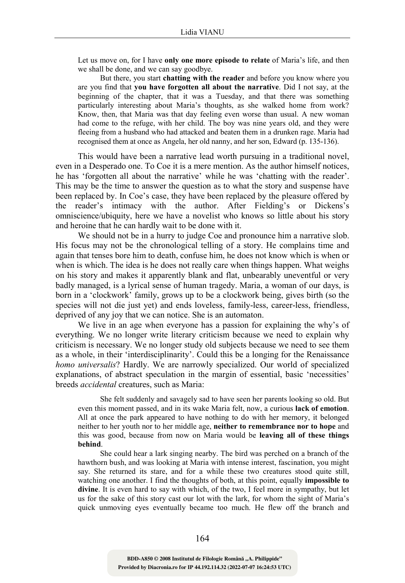Let us move on, for I have only one more episode to relate of Maria's life, and then we shall be done, and we can say goodbye.

But there, you start chatting with the reader and before you know where you are you find that you have forgotten all about the narrative. Did I not say, at the beginning of the chapter, that it was a Tuesday, and that there was something particularly interesting about Maria's thoughts, as she walked home from work? Know, then, that Maria was that day feeling even worse than usual. A new woman had come to the refuge, with her child. The boy was nine years old, and they were fleeing from a husband who had attacked and beaten them in a drunken rage. Maria had recognised them at once as Angela, her old nanny, and her son, Edward (p. 135-136).

This would have been a narrative lead worth pursuing in a traditional novel, even in a Desperado one. To Coe it is a mere mention. As the author himself notices, he has 'forgotten all about the narrative' while he was 'chatting with the reader'. This may be the time to answer the question as to what the story and suspense have been replaced by. In Coe's case, they have been replaced by the pleasure offered by the reader's intimacy with the author. After Fielding's or Dickens's omniscience/ubiquity, here we have a novelist who knows so little about his story and heroine that he can hardly wait to be done with it.

We should not be in a hurry to judge Coe and pronounce him a narrative slob. His focus may not be the chronological telling of a story. He complains time and again that tenses bore him to death, confuse him, he does not know which is when or when is which. The idea is he does not really care when things happen. What weighs on his story and makes it apparently blank and flat, unbearably uneventful or very badly managed, is a lyrical sense of human tragedy. Maria, a woman of our days, is born in a 'clockwork' family, grows up to be a clockwork being, gives birth (so the species will not die just yet) and ends loveless, family-less, career-less, friendless, deprived of any joy that we can notice. She is an automaton.

We live in an age when everyone has a passion for explaining the why's of everything. We no longer write literary criticism because we need to explain why criticism is necessary. We no longer study old subjects because we need to see them as a whole, in their 'interdisciplinarity'. Could this be a longing for the Renaissance homo universalis? Hardly. We are narrowly specialized. Our world of specialized explanations, of abstract speculation in the margin of essential, basic 'necessities' breeds accidental creatures, such as Maria:

She felt suddenly and savagely sad to have seen her parents looking so old. But even this moment passed, and in its wake Maria felt, now, a curious lack of emotion. All at once the park appeared to have nothing to do with her memory, it belonged neither to her youth nor to her middle age, neither to remembrance nor to hope and this was good, because from now on Maria would be leaving all of these things behind.

She could hear a lark singing nearby. The bird was perched on a branch of the hawthorn bush, and was looking at Maria with intense interest, fascination, you might say. She returned its stare, and for a while these two creatures stood quite still, watching one another. I find the thoughts of both, at this point, equally impossible to divine. It is even hard to say with which, of the two, I feel more in sympathy, but let us for the sake of this story cast our lot with the lark, for whom the sight of Maria's quick unmoving eyes eventually became too much. He flew off the branch and